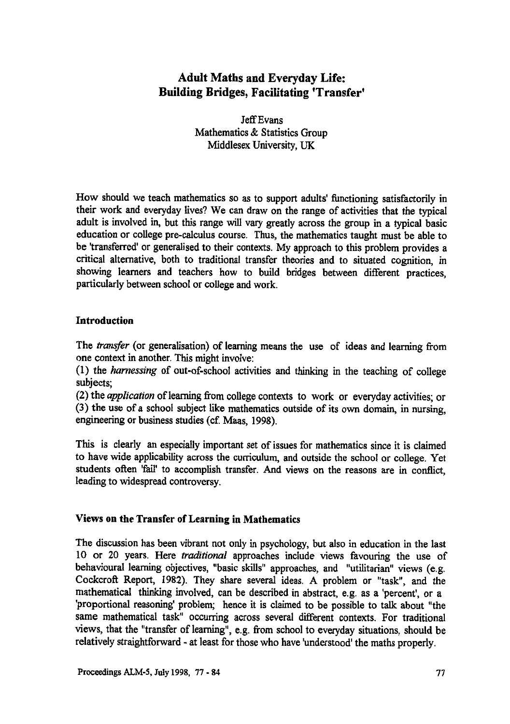# **Adult Maths and Everyday Life: Building Bridges, Facilitating 'Transfer'**

**Jeff Evans Mathematics & Statistics Group Middlesex University, UK**

**How should we teach mathematics so as to support adults' functioning satisfactorily in their work and everyday lives? We can draw on the range of activities that the typical adult is involved in, but this range will vary greatly across the group in a typical basic education or college pre-calculus course. Thus, the mathematics taught must be able to be 'transferred' or generalised to their contexts. My approach to this problem provides a critical alternative, both to traditional transfer theories and to situated cognition, in showing learners and teachers how to build bridges between different practices, particularly between school or college and work.**

### **Introduction**

**The** *transfer* **(or generalisation) of learning means the use of ideas and learning from h**  $\alpha$  **context** in another. This might involve:

**(I) the** *harnessing* **of out-of-school activities and thinking in the teaching of college subjects;**

**(2) the** *application* **of learning from college contexts to work or everyday activities; or (3) the use of a school subject like mathematics outside of its own domain, in nursing, engineering or business studies (cf. Maas, 1998).**

**This is clearly an especially important set of issues for mathematics since it is claimed to have wide applicability across the curriculum, and outside the school or college. Yet students often 'fail' to accomplish transfer. And views on the reasons are in conflict, leading to widespread controversy.**

## **Views on the Transfer of Learning in Mathematics**

**The discussion has been vibrant not only in psychology, but also in education in the last 10 or 20 years. Here** *traditional* **approaches include views favouring the use of behavioural learning objectives, "basic skills" approaches, and "utilitarian" views (e.g. Cockcroft Report, 1982). They share several ideas. A problem or "task", and the mathematical thinking involved, can be described in abstract, e.g. as a 'percent', or a 'proportional reasoning' problem; hence it is claimed to** *be* **possible to talk about "the same mathematical task" occurring across several different contexts. For traditional views, that the "transfer of learning", e.g. from school to everyday situations, should be relatively straightforward - at least for those who have 'understood' the maths properly.**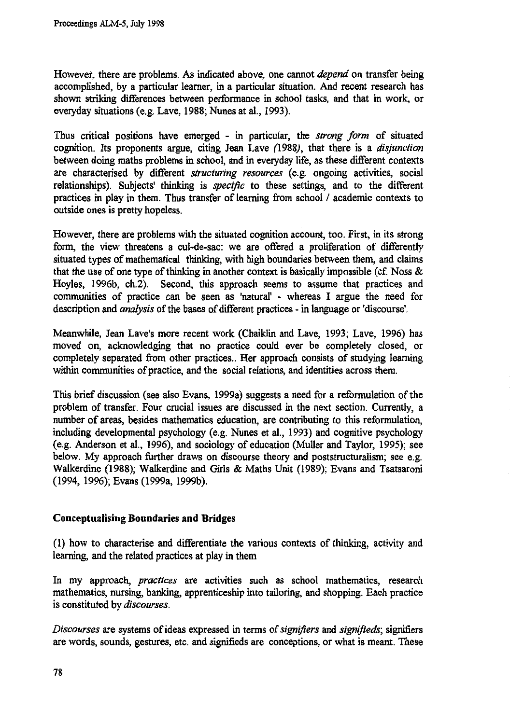**However, there are problems. As indicated above, one cannot** *depend* **on transfer being accomplished, by a particular learner, in a particular situation. And recent research has shown striking differences between performance in school tasks, and that in work, or everyday situations (e.g. Lave, 1988; Nunes at al., 1993).**

**Thus critical positions have emerged - in particular, the** *strong form* **of situated cognition. Its proponents argue, citing Jean Lave (1988), that there is a** *disjunction* **between doing maths problems in school, and in everyday life, as these different contexts are characterised by different** *structuring resources* **(e.g. ongoing activities, social relationships). Subjects' thinking is** *specific* **to these settings, and to the different practices in play in them. Thus** *transfer* **of learning from school / academic contexts to outside ones is pretty hopeless.**

**However, there are problems with the situated cognition account, too. First, in its strong form, the view threatens a cul-de-sac: we are offered a proliferation of differently situated types of mathematical thinking, with high boundaries between them, and claims that the use of one type of thinking in another context is basically impossible (cf. Noss & Hoyles, 1996b, ch.2). Second, this approach seems to assume that practices and communities of practice can be seen as 'natural' - whereas I argue the need for description and** *analysis* **of the bases of different practices - in language or 'discourse'.**

**Meanwhile,** *Jean* **Lave's more recent work (Chaiklin and Lave, 1993; Lave, 1996) has moved on, acknowledging that no practice could ever be completely closed, or completely separated from other practices.. Her approach consists of studying learning within communities of practice, and the social relations, and identities across them.**

**This brief discussion (see also Evans, 1999a) suggests a need for a reformulation of the problem of transfer. Four crucial issues are discussed in the next section. Currently, a number of areas, besides mathematics education, are contributing to this reformulation, including developmental psychology (e.g. Nunes et al., 1993) and cognitive psychology (e.g. Anderson et al., 1996), and sociology of education (Muller and Taylor, 1995); see below. My approach further draws on discourse theory and poststructuralism; see e.g. Walkerdine (1988); Walkerdine and Girls & Maths Unit (1989); Evans and Tsatsaroni (1994, 1996); Evans (1999a, 1999b).**

## **Conceptualising Boundaries and Bridges**

**(1) how to characterise and differentiate the various contexts of thinking, activity and learning, and the related practices at play in them**

**In my approach,** *practices are* **activities such as school mathematics, research mathematics, nursing, banking, apprenticeship into tailoring, and shopping. Each practice is constituted by** *discourses.*

*Discourses* **are systems of ideas expressed in terms of** *signifiers* **and** *signifieds;* **signifiers are words, sounds, gestures, etc. and signifieds are conceptions, or what is meant. These**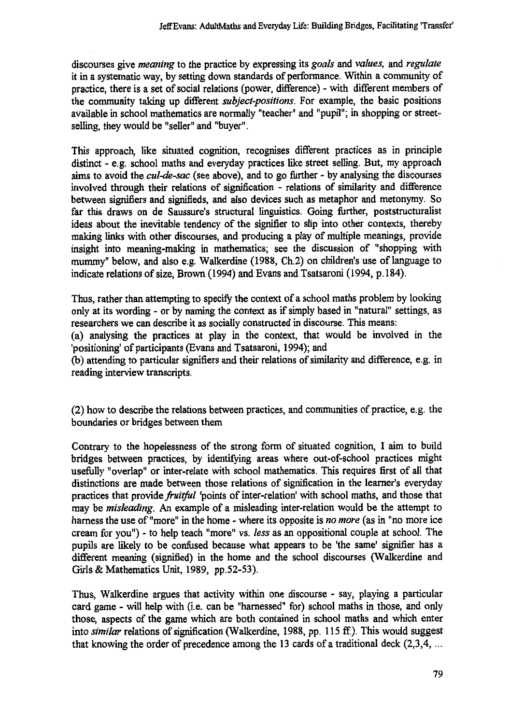**discourses give** *meaning* **to the practice by expressing its** *goals* **and** *values,* **and** *regulate* **it in** *a* **systematic way, by setting down standards of performance. Within a community of practice, there is a set of social relations (power, difference) - with different members of the community taking up different** *subject-positions.* **For example, the basic positions available in school mathematics are normally "teacher" and "pupil"; in shopping or streetselling, they would be "seller" and "buyer".**

**This approach, like situated cognition, recognises different practices as in principle distinct - e.g. school maths and everyday practices like street selling. But, my approach aims to avoid the** *cul-de-sac* **(see above), and to go further - by analysing the discourses involved through their relations of signification - relations of similarity and difference between signifiers and signifieds, and also devices such as metaphor and metonymy. So far this draws on de Saussure's structural linguistics. Going further, poststructuralist ideas about the inevitable tendency of the signifier to slip into other contexts, thereby making links with other discourses, and producing a play of multiple meanings, provide insight into meaning-making in mathematics; see the discussion of "shopping with mummy" below, and also e.g. Walkerdine (1988, Ch.2) on children's use of language to indicate relations of size, Brown (1994) and Evans and Tsatsaroni (1994, p.184).**

**Thus, rather than attempting to specify the context of a school maths problem by looking only at its wording - or by naming the context as if simply based in "natural" settings, as** *researchers* **we** *can* **describe it as socially constructed in discourse. This means:**

**(a) analysing the practices at play in the context, that would be involved in the 'positioning' of participants (Evans and Tsatsaroni, 1994); and**

**(b) attending to particular signifiers and their relations of similarity and difference, e.g. in reading interview transcripts.**

**(2) how to describe the relations between practices, and communities of practice, e.g. the boundaries or bridges between them**

**Contrary to the hopelessness of the strong form of situated cognition, I aim to build bridges between practices, by identifying areas where out-of-school practices might usefully "overlap" or inter-relate with school mathematics. This requires first of all that distinctions are made between those relations of signification in the learner's everyday practices that provide** *fruitful* **'points of inter-relation' with school maths, and those that may be** *misleading.* **An example of a misleading inter-relation would be the attempt to harness the use of "more" in the home - where its opposite is** *no more (as* **in "no more ice cream for you") - to help teach "more" vs.** *less as* **an oppositional couple at school. The pupils are likely to be confused because what appears to be 'the same' signifier has a different meaning (signified) in the home and the school discourses (Walkerdine and Girls & Mathematics Unit, 1989, pp.52-53).**

**Thus, Walkerdine argues that activity within one discourse - say, playing a particular card game - will help with (i.e. can be "harnessed" for) school maths in those, and only those, aspects of the game which are both contained in school maths and which enter into** *similar* **relations of signification (Walkerdine, 1988, pp. 115 ff.). This would suggest that knowing the order of precedence among the 13 cards of a traditional deck (2,3,4, ...**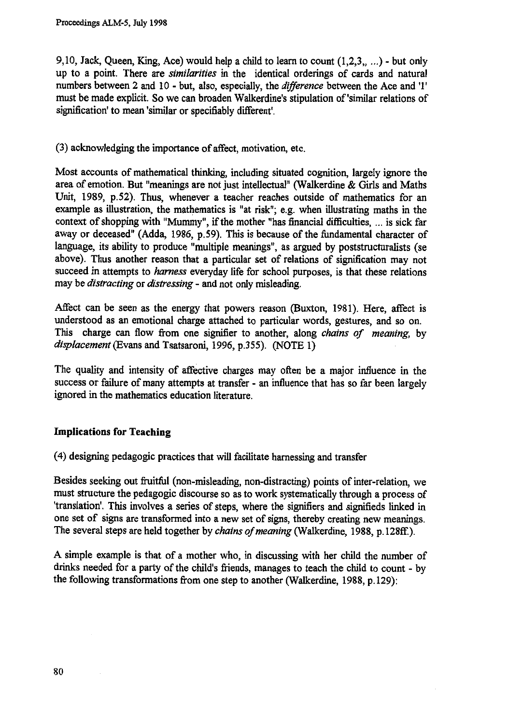9,10, Jack, Queen, King, Ace) would help a child to learn to count  $(1,2,3,...)$  - but only **up to a point. There are** *similarities* **in the identical orderings of cards and natural numbers between 2 and 10 - but, also, especially, the** *difference* **between the Ace and '1' must be made explicit. So we can broaden Walkerdine's stipulation of 'similar relations of signification' to mean 'similar or specifiably different'.**

**(3) acknowledging the importance of affect, motivation, etc.**

**Most accounts of mathematical thinking, including situated cognition, largely ignore the area of emotion. But "meanings are not just intellectual" (Walkerdine** *&* **Girls and Maths Unit, 1989, p.52). Thus, whenever a teacher reaches outside of mathematics for an example as illustration, the mathematics is "at risk"; e.g. when illustrating maths in the context of shopping with "Mummy", if the mother "has financial difficulties, ... is sick far away or deceased" (Adda, 1986, p.59). This is because of the fundamental character of language, its ability to produce "multiple meanings", as argued by poststructuralists (se above). Thus another reason that a particular set of relations of signification may not succeed in attempts to** *harness* **everyday life for school purposes, is that these relations may be** *distracting* **or** *distressing -* **and not only misleading.**

**Affect can be seen as the energy that powers reason (Buxton, 1981). Here, affect is understood as an emotional charge attached to particular words, gestures, and so on. This charge can flow from one signifier to another, along** *chains of meaning,* **by** *displacement* **(Evans and Tsatsaroni, 1996, p.355). (NOTE 1)**

**The quality and intensity of affective charges may often be a major influence in the success or failure of many attempts at transfer - an influence that has so far been largely ignored in the mathematics education literature.**

## **Implications for Teaching**

**(4) designing pedagogic practices that will facilitate harnessing and transfer**

**Besides seeking out fruitful (non-misleading, non-distracting) points of inter-relation, we must structure the pedagogic discourse so as to work systematically through a process of 'translation'. This involves a series of steps, where the signifiers and signifieds linked in one set of signs are transformed into a new set of signs, thereby creating new meanings. The several steps are held together by** *chains of meaning* **(Walkerdine, 1988, p.128ff.).**

**A simple example is that of a mother who, in discussing with her child the number of drinks needed for a party of the child's friends, manages to teach the child to count - by the following transformations from one step to another (Walkerdine, 1988, p.129):**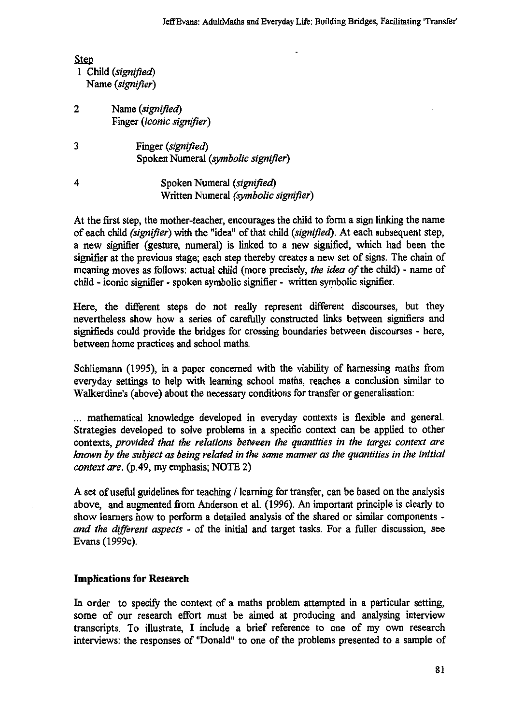| <b>Step</b> |                     |
|-------------|---------------------|
|             | 1 Child (signified) |
|             | Name (signifier)    |

- **2 Name** *(signified)* **Finger** *(iconic signifier)*
- **3 Finger** *(signified)* **Spoken Numeral** *(symbolic signifier)*
- **4 Spoken Numeral** *(signified)* **Written Numeral** *(symbolic signifier)*

**At the first step, the mother-teacher, encourages the child to form a sign linking the name of each child** *(signifier)* **with the "idea" of that child** *(signified).* **At each subsequent step, a new signifier (gesture, numeral) is linked to a new signified, which had been the signifier at the previous stage; each step thereby creates a new set of signs. The chain of meaning moves as follows: actual child (more precisely,** *the idea of* **the child) - name of child - iconic signifier - spoken symbolic signifier - written symbolic signifier.**

**Here, the different steps do not really represent different discourses, but they nevertheless show how a series of carefully constructed links between signifiers and signifieds could provide the bridges for crossing boundaries between discourses - here, between home practices and school maths.**

**Schliemann (1995), in a paper concerned with the viability of harnessing maths from everyday settings to help with learning school maths, reaches a conclusion similar to Walkerdine's (above) about the necessary conditions for transfer or generalisation:**

**... mathematical knowledge developed in everyday contexts is flexible and general. Strategies developed to solve problems in a specific context can be applied to other contexts,** *provided that the relations between the quantities in the target context are known by the subject as being related in the same manner as the quantities in the initial context are.* **(p.49, my emphasis; NOTE 2)**

**A set of useful guidelines for teaching / learning for transfer, can be based on the analysis above, and augmented from Anderson et al. (1996). An important principle is clearly to show learners how to perform a detailed analysis of the shared or similar components**  *and the different aspects -* **of the initial and target tasks. For a fuller discussion, see Evans (1999c).**

## **Implications for Research**

**In order to specify the context of a maths problem attempted in a particular setting, some of our research effort must be aimed at producing and analysing interview transcripts. To illustrate, I include a brief reference to one of my own research interviews: the responses of "Donald" to one of the problems presented to a sample of**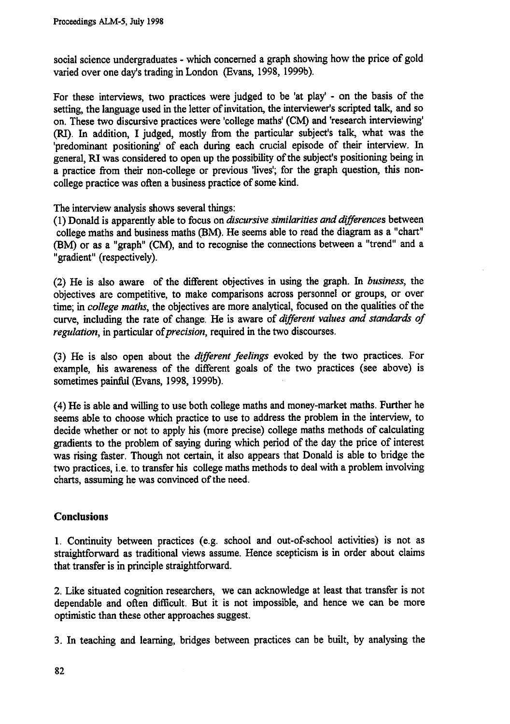**social science undergraduates - which concerned a graph showing how the price of gold varied over one day's trading in London (Evans, 1998, 1999b).**

**For these interviews, two practices were judged to be 'at play' - on the basis of the setting, the language used in the letter of invitation, the interviewer's scripted talk, and so on. These two discursive practices were 'college maths' (CM) and 'research interviewing' (RI). In addition, I judged, mostly from the particular subject's talk, what was the 'predominant positioning' of each during each crucial episode of their interview. In general, RI was considered to open up the possibility of the subject's positioning being in a practice from their non-college or previous 'lives; for the graph question, this noncollege practice was often a business practice of some kind.**

**The interview analysis shows several things:**

**(1) Donald is apparently able to focus on** *discursive similarities and differences* **between college maths and business maths (BM). He seems able to read the diagram as a "chart" (BM) or as a "graph" (CM), and to recognise the connections between a "trend" and a "gradient" (respectively).**

**(2) He is also aware of the different objectives in using the graph. In** *business,* **the objectives are competitive, to make comparisons across personnel or groups, or over time;** *in college maths,* **the objectives are more analytical, focused on the qualities of the curve, including the rate of change: He is aware of** *different values and standards of regulation,* **in particular** *of precision,* **required in the two discourses.**

**(3) He is also open about the** *different feelings* **evoked by the two practices. For example, his awareness of the different goals of the two practices (see above) is sometimes painful (Evans, 1998, 1999b).**

**(4)He is able and willing to use both college maths and money-market maths. Further he seems able to choose which practice to use to address the problem in the interview, to decide whether or not to apply his (more precise) college maths methods of calculating gradients to the problem of saying during which period of the day the price of interest was rising faster. Though not certain, it also appears that Donald is able to bridge the two practices, i.e. to transfer his college maths methods to deal with a problem involving charts, assuming he was convinced of the need.**

## **Conclusions**

**1. Continuity between practices (e.g. school and out-of-school activities) is not as straightforward as traditional views assume. Hence scepticism is in order about claims that transfer is in principle straightforward.**

**2. Like situated cognition researchers, we can acknowledge at least that transfer is not dependable and often difficult. But it is not impossible, and hence we can be more optimistic than these other approaches suggest.**

**3. In teaching and learning, bridges between practices can be built, by analysing the**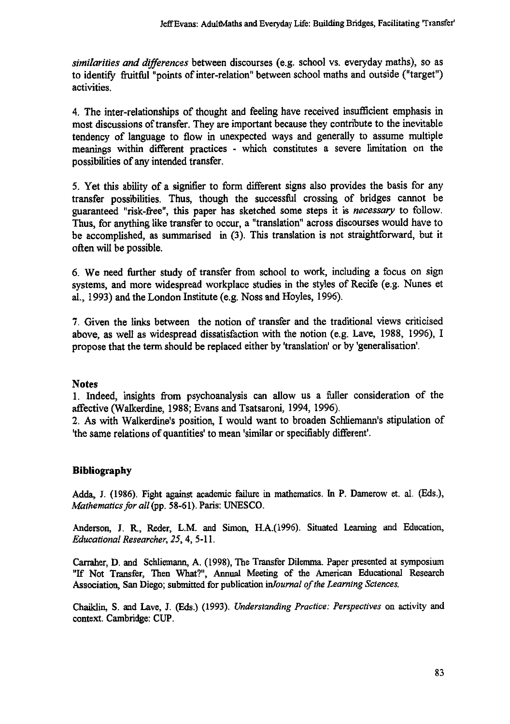similarities and differences between discourses (e.g. school vs. everyday maths), so as to identify fruitful "points of inter-relation" between school maths and outside ("target") activities.

4. The inter-relationships of thought and feeling have received insufficient emphasis in most discussions of transfer. They are important because they contribute to the inevitable tendency of language to flow in unexpected ways and generally to assume multiple meanings within different practices - which constitutes a severe limitation on the possibilities of any intended transfer.

5. Yet this ability of a signifier to form different signs also provides the basis for any transfer possibilities. Thus, though the successful crossing of bridges cannot be guaranteed "risk-free", this paper has sketched some steps it is necessary to follow. Thus, for anything like transfer to occur, a "translation" across discourses would have to be accomplished, as summarised in (3). This translation is not straightforward, but it often will be possible.

6. We need further study of transfer from school to work, including a focus on sign systems, and more widespread workplace studies in the styles of Recife (e.g. Nunes et al., 1993) and the London Institute (e.g. Noss and Hoyles, 1996).

7. Given the links between the notion of transfer and the traditional views criticised above, as well as widespread dissatisfaction with the notion (e.g. Lave, 1988, 1996), I propose that the term should be replaced either by 'translation' or by 'generalisation'.

## Notes

1. Indeed, insights from psychoanalysis can allow us a fuller consideration of the affective (Walkerdine, 1988; Evans and Tsatsaroni, 1994, 1996).

2. As with Walkerdine's position, I would want to broaden Schliemann's stipulation of 'the same relations of quantities' to mean 'similar or specifiably different'.

## **Bibliography**

Adda, J. (1986). Fight against academic failure in mathematics. **In P. Damerow et. al. (Eds.),** *Mathematics for all* (pp. 58-61). Paris: UNESCO.

Anderson, J. R., Reder, L.M. and Simon, H.A.(1996). Situated Learning and Education, *Educational Researcher, 25,* 4, 5-11.

Carraher, D. and Schliemann, A. (1998), The Transfer Dilemma. Paper presented at symposium "If Not Transfer, Then What?", Annual Meeting of the American Educational Research Association, San Diego; submitted for publication *inlournal of the Learning Sciences.*

Chaildin, S. and Lave, J. (Eds.) (1993). *Understanding Practice: Perspectives* on activity and context. Cambridge: CUP.